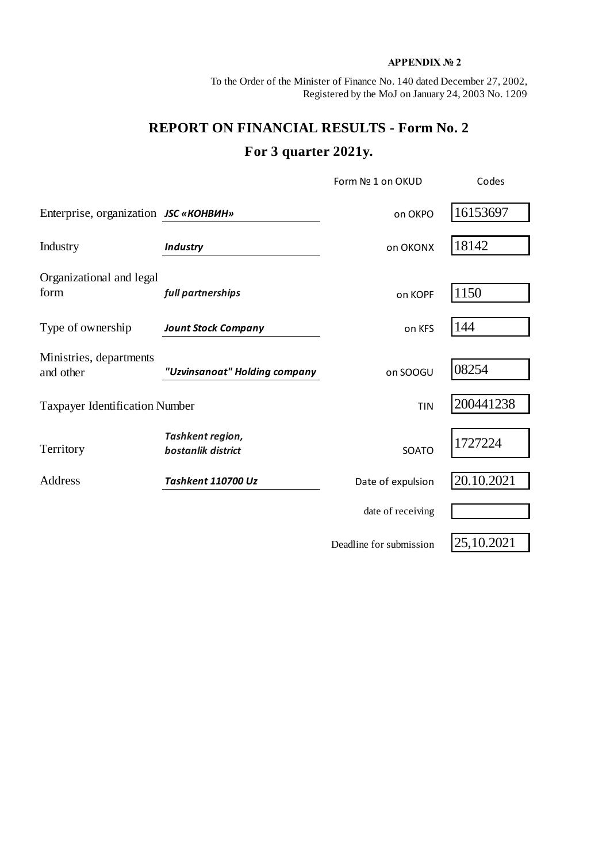## **APPENDIX № 2**

To the Order of the Minister of Finance No. 140 dated December 27, 2002, Registered by the MoJ on January 24, 2003 No. 1209

## **REPORT ON FINANCIAL RESULTS - Form No. 2 For 3 quarter 2021y.**

|                                       |                                        | Form Nº 1 on OKUD       | Codes      |
|---------------------------------------|----------------------------------------|-------------------------|------------|
| Enterprise, organization JSC «КОНВИН» |                                        | on OKPO                 | 16153697   |
| Industry                              | <b>Industry</b>                        | on OKONX                | 18142      |
| Organizational and legal<br>form      | full partnerships                      | on KOPF                 | 1150       |
| Type of ownership                     | <b>Jount Stock Company</b>             | on KFS                  | 144        |
| Ministries, departments<br>and other  | "Uzvinsanoat" Holding company          | on SOOGU                | 08254      |
| <b>Taxpayer Identification Number</b> |                                        | <b>TIN</b>              | 200441238  |
| Territory                             | Tashkent region,<br>bostanlik district | SOATO                   | 1727224    |
| Address                               | Tashkent 110700 Uz                     | Date of expulsion       | 20.10.2021 |
|                                       |                                        | date of receiving       |            |
|                                       |                                        | Deadline for submission | 25,10.2021 |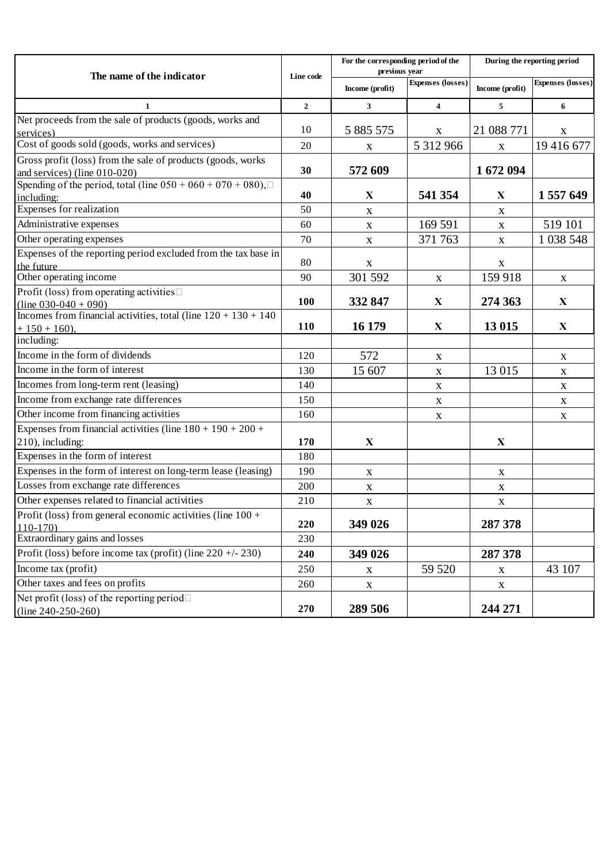| The name of the indicator                                                                       | Line code      | For the corresponding period of the<br>previous year |                          | During the reporting period |                   |
|-------------------------------------------------------------------------------------------------|----------------|------------------------------------------------------|--------------------------|-----------------------------|-------------------|
|                                                                                                 |                | Income (profit)                                      | <b>Expenses</b> (losses) | Income (profit)             | Expenses (losses) |
| 1                                                                                               | $\overline{2}$ | 3                                                    | 4                        | 5                           | 6                 |
| Net proceeds from the sale of products (goods, works and<br>services)                           | 10             | 5 885 575                                            | $\mathbf X$              | 21 088 771                  | $\mathbf X$       |
| Cost of goods sold (goods, works and services)                                                  | 20             | X                                                    | 5 312 966                | $\mathbf X$                 | 19 416 677        |
| Gross profit (loss) from the sale of products (goods, works<br>and services) ( $line 010-020$ ) | 30             | 572 609                                              |                          | 1672094                     |                   |
| Spending of the period, total (line $050 + 060 + 070 + 080$ ),<br>including:                    | 40             | X                                                    | 541 354                  | $\mathbf X$                 | 1 557 649         |
| Expenses for realization                                                                        | 50             | $\mathbf X$                                          |                          | $\mathbf X$                 |                   |
| Administrative expenses                                                                         | 60             | $\mathbf X$                                          | 169 591                  | $\mathbf X$                 | 519 101           |
| Other operating expenses                                                                        | 70             | X                                                    | 371 763                  | $\mathbf X$                 | 1 0 38 5 48       |
| Expenses of the reporting period excluded from the tax base in<br>the future                    | 80             | X                                                    |                          | X                           |                   |
| Other operating income                                                                          | 90             | 301 592                                              | $\mathbf X$              | 159 918                     | $\mathbf X$       |
| Profit (loss) from operating activities□<br>$(line 030-040 + 090)$                              | 100            | 332 847                                              | $\mathbf X$              | 274 363                     | $\mathbf X$       |
| Incomes from financial activities, total (line $120 + 130 + 140$ )<br>$+150+160$ ,              | 110            | 16 179                                               | $\mathbf X$              | 13 015                      | $\mathbf X$       |
| including:                                                                                      |                |                                                      |                          |                             |                   |
| Income in the form of dividends                                                                 | 120            | 572                                                  | X                        |                             | X                 |
| Income in the form of interest                                                                  | 130            | 15 607                                               | $\mathbf X$              | 13 015                      | $\mathbf X$       |
| Incomes from long-term rent (leasing)                                                           | 140            |                                                      | X                        |                             | $\mathbf X$       |
| Income from exchange rate differences                                                           | 150            |                                                      | $\mathbf X$              |                             | $\mathbf X$       |
| Other income from financing activities                                                          | 160            |                                                      | X                        |                             | $\mathbf X$       |
| Expenses from financial activities (line $180 + 190 + 200 +$<br>210), including:                | 170            | $\mathbf X$                                          |                          | X                           |                   |
| Expenses in the form of interest                                                                | 180            |                                                      |                          |                             |                   |
| Expenses in the form of interest on long-term lease (leasing)                                   | 190            | $\mathbf X$                                          |                          | X                           |                   |
| Losses from exchange rate differences                                                           | 200            | $\mathbf X$                                          |                          | $\mathbf X$                 |                   |
| Other expenses related to financial activities                                                  | 210            | $\mathbf X$                                          |                          | $\mathbf X$                 |                   |
| Profit (loss) from general economic activities (line $100 +$<br>$110-170$                       | 220            | 349 026                                              |                          | 287 378                     |                   |
| Extraordinary gains and losses                                                                  | 230            |                                                      |                          |                             |                   |
| Profit (loss) before income tax (profit) (line $220 + (-230)$ )                                 | 240            | 349 026                                              |                          | 287 378                     |                   |
| Income tax (profit)                                                                             | 250            | X                                                    | 59 520                   | $\mathbf X$                 | 43 107            |
| Other taxes and fees on profits                                                                 | 260            | $\mathbf X$                                          |                          | $\mathbf{X}$                |                   |
| Net profit (loss) of the reporting period $\Box$<br>(line $240-250-260$ )                       | 270            | 289 506                                              |                          | 244 271                     |                   |